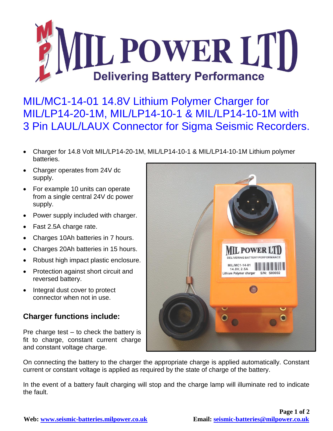

MIL/MC1-14-01 14.8V Lithium Polymer Charger for MIL/LP14-20-1M, MIL/LP14-10-1 & MIL/LP14-10-1M with 3 Pin LAUL/LAUX Connector for Sigma Seismic Recorders.

- Charger for 14.8 Volt MIL/LP14-20-1M, MIL/LP14-10-1 & MIL/LP14-10-1M Lithium polymer batteries.
- Charger operates from 24V dc supply.
- For example 10 units can operate from a single central 24V dc power supply.
- Power supply included with charger.
- Fast 2.5A charge rate.
- Charges 10Ah batteries in 7 hours.
- Charges 20Ah batteries in 15 hours.
- Robust high impact plastic enclosure.
- Protection against short circuit and reversed battery.
- Integral dust cover to protect connector when not in use.

## **Charger functions include:**

Pre charge test – to check the battery is fit to charge, constant current charge and constant voltage charge.



On connecting the battery to the charger the appropriate charge is applied automatically. Constant current or constant voltage is applied as required by the state of charge of the battery.

In the event of a battery fault charging will stop and the charge lamp will illuminate red to indicate the fault.